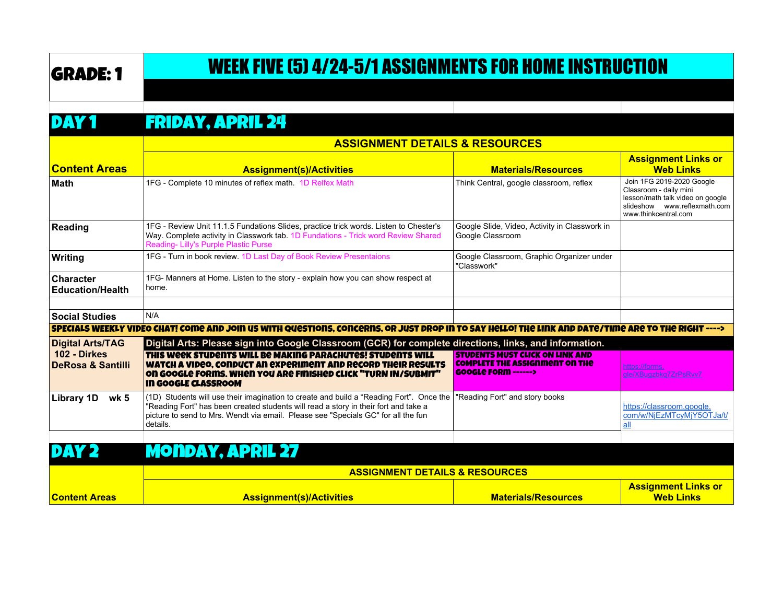# GRADE: 1 WEEK FIVE (5) 4/24-5/1 ASSIGNMENTS FOR HOME INSTRUCTION

#### DAY 1 FRIDAY, APRIL 24

|                                              |                                                                                                                                                                                                                                                                                 | <b>ASSIGNMENT DETAILS &amp; RESOURCES</b>                                                                        |                                                                                                                                                 |  |
|----------------------------------------------|---------------------------------------------------------------------------------------------------------------------------------------------------------------------------------------------------------------------------------------------------------------------------------|------------------------------------------------------------------------------------------------------------------|-------------------------------------------------------------------------------------------------------------------------------------------------|--|
| <b>Content Areas</b>                         | <b>Assignment(s)/Activities</b>                                                                                                                                                                                                                                                 | <b>Materials/Resources</b>                                                                                       | <b>Assignment Links or</b><br><b>Web Links</b>                                                                                                  |  |
| <b>Math</b>                                  | 1FG - Complete 10 minutes of reflex math. 1D Relfex Math                                                                                                                                                                                                                        | Think Central, google classroom, reflex                                                                          | Join 1FG 2019-2020 Google<br>Classroom - daily mini<br>lesson/math talk video on google<br>slideshow www.reflexmath.com<br>www.thinkcentral.com |  |
| Reading                                      | 1FG - Review Unit 11.1.5 Fundations Slides, practice trick words. Listen to Chester's<br>Way. Complete activity in Classwork tab. 1D Fundations - Trick word Review Shared<br>Reading- Lilly's Purple Plastic Purse                                                             | Google Slide, Video, Activity in Classwork in<br>Google Classroom                                                |                                                                                                                                                 |  |
| Writing                                      | 1FG - Turn in book review 1D Last Day of Book Review Presentaions                                                                                                                                                                                                               | Google Classroom, Graphic Organizer under<br>"Classwork"                                                         |                                                                                                                                                 |  |
| <b>Character</b><br><b>Education/Health</b>  | 1FG- Manners at Home. Listen to the story - explain how you can show respect at<br>home.                                                                                                                                                                                        |                                                                                                                  |                                                                                                                                                 |  |
| <b>Social Studies</b>                        | N/A                                                                                                                                                                                                                                                                             |                                                                                                                  |                                                                                                                                                 |  |
|                                              | SPECIALS WEEKLY VIDEO CHAT! COME AND JOIN US WITH QUESTIONS, CONCERNS, OR JUST DROP IN TO SAY HELLO! THE LINK AND DATE/TIME ARE TO THE RIGHT ---->                                                                                                                              |                                                                                                                  |                                                                                                                                                 |  |
| <b>Digital Arts/TAG</b>                      | Digital Arts: Please sign into Google Classroom (GCR) for complete directions, links, and information.                                                                                                                                                                          |                                                                                                                  |                                                                                                                                                 |  |
| 102 - Dirkes<br><b>DeRosa &amp; Santilli</b> | <b>THIS WEEK STUDENTS WILL BE MAKING PARACHUTES! STUDENTS WILL</b><br>WATCH A VIDEO, CONDUCT AN EXPERIMENT AND RECORD THEIR RESULTS<br><b>ON GOOGLE FORMS. WHEN YOU ARE FINISHED CLICK "TURN IN/SUBMIT"</b><br><b>IN GOOGLE CLASSROOM</b>                                       | <b>STUDENTS MUST CLICK ON LINK AND</b><br><b>COMPLETE THE ASSIGNMENT ON THE</b><br><b>GOOGLE FORM ------&gt;</b> | https://forms.<br>gle/XBugzbkg7ZrPsRvv7                                                                                                         |  |
| Library 1D<br>wk 5                           | (1D) Students will use their imagination to create and build a "Reading Fort". Once the<br>'Reading Fort" has been created students will read a story in their fort and take a<br>picture to send to Mrs. Wendt via email. Please see "Specials GC" for all the fun<br>details. | "Reading Fort" and story books                                                                                   | https://classroom.google.<br>com/w/NjEzMTcyMjY5OTJa/t/<br>all                                                                                   |  |
| DAY 2                                        | <b>MONDAY, APRIL 27</b>                                                                                                                                                                                                                                                         |                                                                                                                  |                                                                                                                                                 |  |
|                                              | <b>ASSIGNMENT DETAILS &amp; RESOURCES</b>                                                                                                                                                                                                                                       |                                                                                                                  |                                                                                                                                                 |  |
| <b>Content Areas</b>                         | <b>Assignment(s)/Activities</b>                                                                                                                                                                                                                                                 | <b>Materials/Resources</b>                                                                                       | <b>Assignment Links or</b><br><b>Web Links</b>                                                                                                  |  |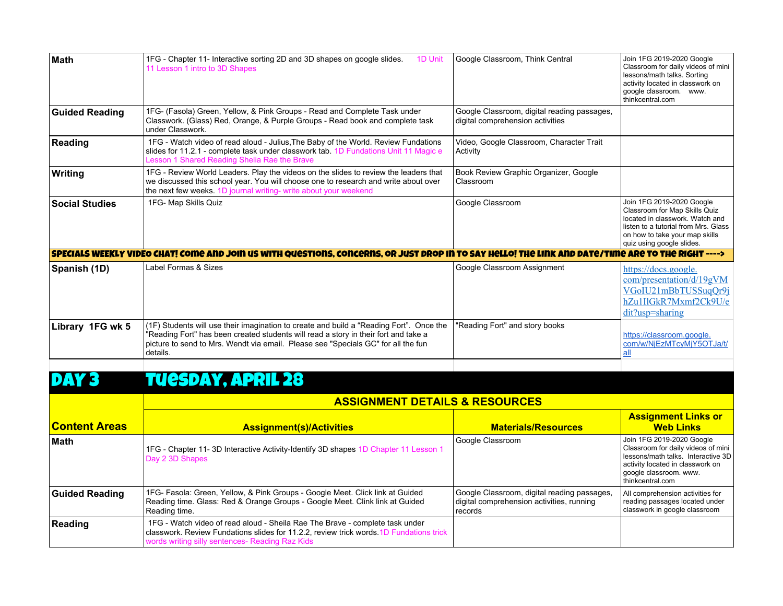| Math                  | 1FG - Chapter 11- Interactive sorting 2D and 3D shapes on google slides.<br>1D Unit<br>11 Lesson 1 intro to 3D Shapes                                                                                                                                                           | Google Classroom, Think Central                                                 | Join 1FG 2019-2020 Google<br>Classroom for daily videos of mini<br>lessons/math talks. Sorting<br>activity located in classwork on<br>google classroom. www.<br>thinkcentral.com                     |
|-----------------------|---------------------------------------------------------------------------------------------------------------------------------------------------------------------------------------------------------------------------------------------------------------------------------|---------------------------------------------------------------------------------|------------------------------------------------------------------------------------------------------------------------------------------------------------------------------------------------------|
| <b>Guided Reading</b> | 1FG- (Fasola) Green, Yellow, & Pink Groups - Read and Complete Task under<br>Classwork. (Glass) Red, Orange, & Purple Groups - Read book and complete task<br>under Classwork.                                                                                                  | Google Classroom, digital reading passages,<br>digital comprehension activities |                                                                                                                                                                                                      |
| <b>Reading</b>        | 1FG - Watch video of read aloud - Julius, The Baby of the World. Review Fundations<br>slides for 11.2.1 - complete task under classwork tab. 1D Fundations Unit 11 Magic e<br>Lesson 1 Shared Reading Shelia Rae the Brave                                                      | Video, Google Classroom, Character Trait<br>Activity                            |                                                                                                                                                                                                      |
| Writing               | 1FG - Review World Leaders. Play the videos on the slides to review the leaders that<br>we discussed this school year. You will choose one to research and write about over<br>the next few weeks. 1D journal writing- write about your weekend                                 | Book Review Graphic Organizer, Google<br>Classroom                              |                                                                                                                                                                                                      |
| <b>Social Studies</b> | 1FG- Map Skills Quiz                                                                                                                                                                                                                                                            | Google Classroom                                                                | Join 1FG 2019-2020 Google<br>Classroom for Map Skills Quiz<br>located in classwork. Watch and<br>listen to a tutorial from Mrs. Glass<br>on how to take your map skills<br>quiz using google slides. |
|                       | SPECIALS WEEKLY VIDEO CHAT! COME AND JOIN US WITH QUESTIONS, CONCERNS, OR JUST DROP IN TO SAY HELLO! THE LINK AND DATE/TIME ARE TO THE RIGHT ---->                                                                                                                              |                                                                                 |                                                                                                                                                                                                      |
| Spanish (1D)          | Label Formas & Sizes                                                                                                                                                                                                                                                            | Google Classroom Assignment                                                     | https://docs.google.<br>com/presentation/d/19gVM<br>VGoIU21mBbTUSSuqOr9i<br>hZu1IlGkR7Mxmf2Ck9U/e<br>dit?usp=sharing                                                                                 |
| Library 1FG wk 5      | (1F) Students will use their imagination to create and build a "Reading Fort". Once the<br>"Reading Fort" has been created students will read a story in their fort and take a<br>picture to send to Mrs. Wendt via email. Please see "Specials GC" for all the fun<br>details. | "Reading Fort" and story books                                                  | https://classroom.google.<br>com/w/NjEzMTcyMjY5OTJa/t/<br>all                                                                                                                                        |
|                       |                                                                                                                                                                                                                                                                                 |                                                                                 |                                                                                                                                                                                                      |

# DAY 3 TUESDAY, APRIL 28

|                       | <b>ASSIGNMENT DETAILS &amp; RESOURCES</b>                                                                                                                                                                                  |                                                                                                     |                                                                                                                                                                                         |
|-----------------------|----------------------------------------------------------------------------------------------------------------------------------------------------------------------------------------------------------------------------|-----------------------------------------------------------------------------------------------------|-----------------------------------------------------------------------------------------------------------------------------------------------------------------------------------------|
| <b>Content Areas</b>  | <b>Assignment(s)/Activities</b>                                                                                                                                                                                            | <b>Materials/Resources</b>                                                                          | <b>Assignment Links or</b><br><b>Web Links</b>                                                                                                                                          |
| ∣Math                 | 1FG - Chapter 11-3D Interactive Activity-Identify 3D shapes 1D Chapter 11 Lesson 1<br>Day 2 3D Shapes                                                                                                                      | Google Classroom                                                                                    | Join 1FG 2019-2020 Google<br>Classroom for daily videos of mini<br>lessons/math talks. Interactive 3D<br>activity located in classwork on<br>google classroom. www.<br>thinkcentral.com |
| <b>Guided Reading</b> | 1FG- Fasola: Green, Yellow, & Pink Groups - Google Meet. Click link at Guided<br>Reading time. Glass: Red & Orange Groups - Google Meet. Clink link at Guided<br>Reading time.                                             | Google Classroom, digital reading passages,<br>digital comprehension activities, running<br>records | All comprehension activities for<br>reading passages located under<br>classwork in google classroom                                                                                     |
| Reading               | 1FG - Watch video of read aloud - Sheila Rae The Brave - complete task under<br>classwork. Review Fundations slides for 11.2.2, review trick words. 1D Fundations trick<br>words writing silly sentences- Reading Raz Kids |                                                                                                     |                                                                                                                                                                                         |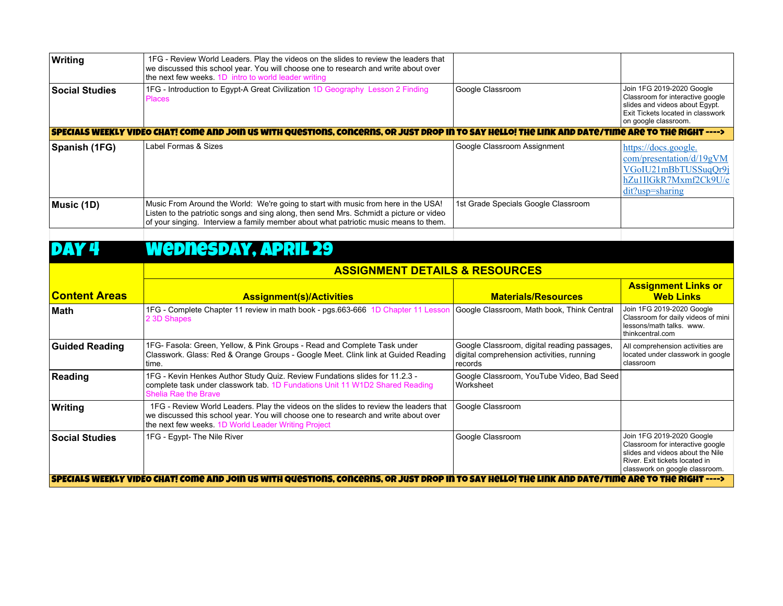| Writing                                                                                                                                                       | 1FG - Review World Leaders. Play the videos on the slides to review the leaders that<br>we discussed this school year. You will choose one to research and write about over<br>the next few weeks. 1D intro to world leader writing                                   |                                     |                                                                                                                                                              |  |
|---------------------------------------------------------------------------------------------------------------------------------------------------------------|-----------------------------------------------------------------------------------------------------------------------------------------------------------------------------------------------------------------------------------------------------------------------|-------------------------------------|--------------------------------------------------------------------------------------------------------------------------------------------------------------|--|
| <b>Social Studies</b>                                                                                                                                         | 1FG - Introduction to Egypt-A Great Civilization 1D Geography Lesson 2 Finding<br><b>Places</b>                                                                                                                                                                       | Google Classroom                    | Join 1FG 2019-2020 Google<br>Classroom for interactive google<br>slides and videos about Eqypt.<br>Exit Tickets located in classwork<br>on google classroom. |  |
| <u> SPECIALS WEEKLY VIDEO CHAT! COMO AND JOIN US WITH QUOSTIONS, CONCORNS, OR JUST DROP IN TO SAY HOLLO! THO LINK AND DATO/TIMO ARO TO THO RIGHT ----&gt;</u> |                                                                                                                                                                                                                                                                       |                                     |                                                                                                                                                              |  |
| Spanish (1FG)                                                                                                                                                 | Label Formas & Sizes                                                                                                                                                                                                                                                  | Google Classroom Assignment         | https://docs.google.<br>com/presentation/d/19gVM<br>VGoIU21mBbTUSSuqQr9j<br>hZu1IlGkR7Mxmf2Ck9U/e<br>$dit?usp = sharing$                                     |  |
| Music (1D)                                                                                                                                                    | Music From Around the World: We're going to start with music from here in the USA!<br>Listen to the patriotic songs and sing along, then send Mrs. Schmidt a picture or video<br>of your singing. Interview a family member about what patriotic music means to them. | 1st Grade Specials Google Classroom |                                                                                                                                                              |  |
|                                                                                                                                                               |                                                                                                                                                                                                                                                                       |                                     |                                                                                                                                                              |  |

# DAY 4 Wednesday, APRIL 29

|                       | <b>ASSIGNMENT DETAILS &amp; RESOURCES</b>                                                                                                                                                                                          |                                                                                                     |                                                                                                                                                                       |
|-----------------------|------------------------------------------------------------------------------------------------------------------------------------------------------------------------------------------------------------------------------------|-----------------------------------------------------------------------------------------------------|-----------------------------------------------------------------------------------------------------------------------------------------------------------------------|
| <b>Content Areas</b>  | <b>Assignment(s)/Activities</b>                                                                                                                                                                                                    | <b>Materials/Resources</b>                                                                          | <b>Assignment Links or</b><br><b>Web Links</b>                                                                                                                        |
| l Math                | 1FG - Complete Chapter 11 review in math book - pgs.663-666 1D Chapter 11 Lesson<br>2 3D Shapes                                                                                                                                    | Google Classroom, Math book, Think Central                                                          | Join 1FG 2019-2020 Google<br>Classroom for daily videos of mini<br>lessons/math talks. www.<br>thinkcentral.com                                                       |
| <b>Guided Reading</b> | 1FG- Fasola: Green, Yellow, & Pink Groups - Read and Complete Task under<br>Classwork. Glass: Red & Orange Groups - Google Meet. Clink link at Guided Reading<br>time.                                                             | Google Classroom, digital reading passages,<br>digital comprehension activities, running<br>records | All comprehension activities are<br>located under classwork in google<br>classroom                                                                                    |
| Reading               | 1FG - Kevin Henkes Author Study Quiz. Review Fundations slides for 11.2.3 -<br>complete task under classwork tab. 1D Fundations Unit 11 W1D2 Shared Reading<br><b>Shelia Rae the Brave</b>                                         | Google Classroom, YouTube Video, Bad Seed<br>Worksheet                                              |                                                                                                                                                                       |
| Writing               | 1FG - Review World Leaders. Play the videos on the slides to review the leaders that<br>we discussed this school year. You will choose one to research and write about over<br>the next few weeks. 1D World Leader Writing Project | Google Classroom                                                                                    |                                                                                                                                                                       |
| <b>Social Studies</b> | 1FG - Egypt- The Nile River                                                                                                                                                                                                        | Google Classroom                                                                                    | Join 1FG 2019-2020 Google<br>Classroom for interactive google<br>slides and videos about the Nile<br>River. Exit tickets located in<br>classwork on google classroom. |
|                       | <u>  SPECIALS WEEKLY VIDEO CHAT! COMO AND JOIN US WITH QUOSTIONS, CONCORNS, OR JUST DROP IN TO SAY HOLLO! THO LINK AND DATO/TIMO ARO TO THO RIGHT ----&gt;</u>                                                                     |                                                                                                     |                                                                                                                                                                       |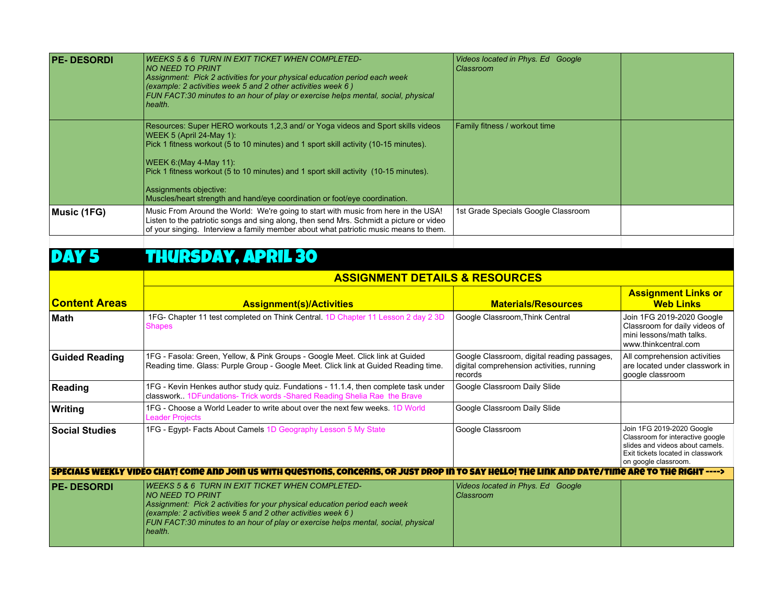| <b>PE-DESORDI</b> | WEEKS 5 & 6 TURN IN EXIT TICKET WHEN COMPLETED-<br><b>NO NEED TO PRINT</b><br>Assignment: Pick 2 activities for your physical education period each week<br>(example: 2 activities week 5 and 2 other activities week 6)<br>FUN FACT:30 minutes to an hour of play or exercise helps mental, social, physical<br>health.                                                                                                        | Videos located in Phys. Ed Google<br>Classroom |  |
|-------------------|---------------------------------------------------------------------------------------------------------------------------------------------------------------------------------------------------------------------------------------------------------------------------------------------------------------------------------------------------------------------------------------------------------------------------------|------------------------------------------------|--|
|                   | Resources: Super HERO workouts 1,2,3 and/ or Yoga videos and Sport skills videos<br>WEEK 5 (April 24-May 1):<br>Pick 1 fitness workout (5 to 10 minutes) and 1 sport skill activity (10-15 minutes).<br>WEEK 6: (May 4-May 11):<br>Pick 1 fitness workout (5 to 10 minutes) and 1 sport skill activity (10-15 minutes).<br>Assignments objective:<br>Muscles/heart strength and hand/eye coordination or foot/eye coordination. | <b>Family fitness / workout time</b>           |  |
| Music (1FG)       | Music From Around the World: We're going to start with music from here in the USA!<br>Listen to the patriotic songs and sing along, then send Mrs. Schmidt a picture or video<br>of your singing. Interview a family member about what patriotic music means to them.                                                                                                                                                           | 1st Grade Specials Google Classroom            |  |

# DAY 5 THURSDAY, APRIL 30

|                                                                                                                                                    | <b>ASSIGNMENT DETAILS &amp; RESOURCES</b>                                                                                                                                                                                                                                                                                           |                                                                                                     |                                                                                                                                                               |  |
|----------------------------------------------------------------------------------------------------------------------------------------------------|-------------------------------------------------------------------------------------------------------------------------------------------------------------------------------------------------------------------------------------------------------------------------------------------------------------------------------------|-----------------------------------------------------------------------------------------------------|---------------------------------------------------------------------------------------------------------------------------------------------------------------|--|
| <b>Content Areas</b>                                                                                                                               | <b>Assignment(s)/Activities</b>                                                                                                                                                                                                                                                                                                     | <b>Materials/Resources</b>                                                                          | <b>Assignment Links or</b><br><b>Web Links</b>                                                                                                                |  |
| <b>Math</b>                                                                                                                                        | 1FG- Chapter 11 test completed on Think Central. 1D Chapter 11 Lesson 2 day 2 3D<br><b>Shapes</b>                                                                                                                                                                                                                                   | Google Classroom, Think Central                                                                     | Join 1FG 2019-2020 Google<br>Classroom for daily videos of<br>mini lessons/math talks.<br>www.thinkcentral.com                                                |  |
| <b>Guided Reading</b>                                                                                                                              | 1FG - Fasola: Green, Yellow, & Pink Groups - Google Meet. Click link at Guided<br>Reading time. Glass: Purple Group - Google Meet. Click link at Guided Reading time.                                                                                                                                                               | Google Classroom, digital reading passages,<br>digital comprehension activities, running<br>records | All comprehension activities<br>l are located under classwork in<br>google classroom                                                                          |  |
| Reading                                                                                                                                            | 1FG - Kevin Henkes author study quiz. Fundations - 11.1.4, then complete task under<br>classwork. 1DFundations- Trick words - Shared Reading Shelia Rae the Brave                                                                                                                                                                   | Google Classroom Daily Slide                                                                        |                                                                                                                                                               |  |
| Writing                                                                                                                                            | 1FG - Choose a World Leader to write about over the next few weeks. 1D World<br>Leader Projects                                                                                                                                                                                                                                     | Google Classroom Daily Slide                                                                        |                                                                                                                                                               |  |
| <b>Social Studies</b>                                                                                                                              | 1FG - Egypt- Facts About Camels 1D Geography Lesson 5 My State                                                                                                                                                                                                                                                                      | Google Classroom                                                                                    | Join 1FG 2019-2020 Google<br>Classroom for interactive google<br>slides and videos about camels.<br>Exit tickets located in classwork<br>on google classroom. |  |
| SPECIALS WEEKLY VIDEO CHAT! COME AND JOIN US WITH QUESTIONS, CONCERNS, OR JUST DROP IN TO SAY HELLO! THE LINK AND DATE/TIME ARE TO THE RIGHT ----> |                                                                                                                                                                                                                                                                                                                                     |                                                                                                     |                                                                                                                                                               |  |
| <b>PE-DESORDI</b>                                                                                                                                  | <b>WEEKS 5 &amp; 6 TURN IN EXIT TICKET WHEN COMPLETED-</b><br><b>NO NEED TO PRINT</b><br>Assignment: Pick 2 activities for your physical education period each week<br>(example: 2 activities week 5 and 2 other activities week 6)<br>FUN FACT:30 minutes to an hour of play or exercise helps mental, social, physical<br>health. | Videos located in Phys. Ed Google<br>Classroom                                                      |                                                                                                                                                               |  |